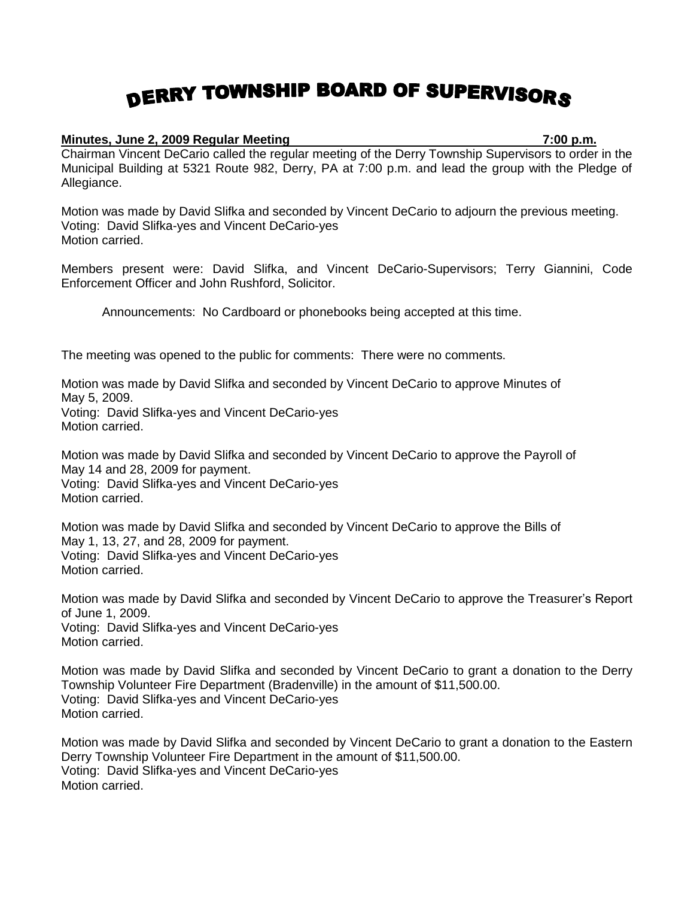## DERRY TOWNSHIP BOARD OF SUPERVISORS

## **Minutes, June 2, 2009 Regular Meeting 7:00 p.m.**

Chairman Vincent DeCario called the regular meeting of the Derry Township Supervisors to order in the Municipal Building at 5321 Route 982, Derry, PA at 7:00 p.m. and lead the group with the Pledge of Allegiance.

Motion was made by David Slifka and seconded by Vincent DeCario to adjourn the previous meeting. Voting: David Slifka-yes and Vincent DeCario-yes Motion carried.

Members present were: David Slifka, and Vincent DeCario-Supervisors; Terry Giannini, Code Enforcement Officer and John Rushford, Solicitor.

Announcements: No Cardboard or phonebooks being accepted at this time.

The meeting was opened to the public for comments: There were no comments.

Motion was made by David Slifka and seconded by Vincent DeCario to approve Minutes of May 5, 2009. Voting: David Slifka-yes and Vincent DeCario-yes Motion carried.

Motion was made by David Slifka and seconded by Vincent DeCario to approve the Payroll of May 14 and 28, 2009 for payment. Voting: David Slifka-yes and Vincent DeCario-yes Motion carried.

Motion was made by David Slifka and seconded by Vincent DeCario to approve the Bills of May 1, 13, 27, and 28, 2009 for payment. Voting: David Slifka-yes and Vincent DeCario-yes Motion carried.

Motion was made by David Slifka and seconded by Vincent DeCario to approve the Treasurer's Report of June 1, 2009.

Voting: David Slifka-yes and Vincent DeCario-yes Motion carried.

Motion was made by David Slifka and seconded by Vincent DeCario to grant a donation to the Derry Township Volunteer Fire Department (Bradenville) in the amount of \$11,500.00. Voting: David Slifka-yes and Vincent DeCario-yes Motion carried.

Motion was made by David Slifka and seconded by Vincent DeCario to grant a donation to the Eastern Derry Township Volunteer Fire Department in the amount of \$11,500.00. Voting: David Slifka-yes and Vincent DeCario-yes Motion carried.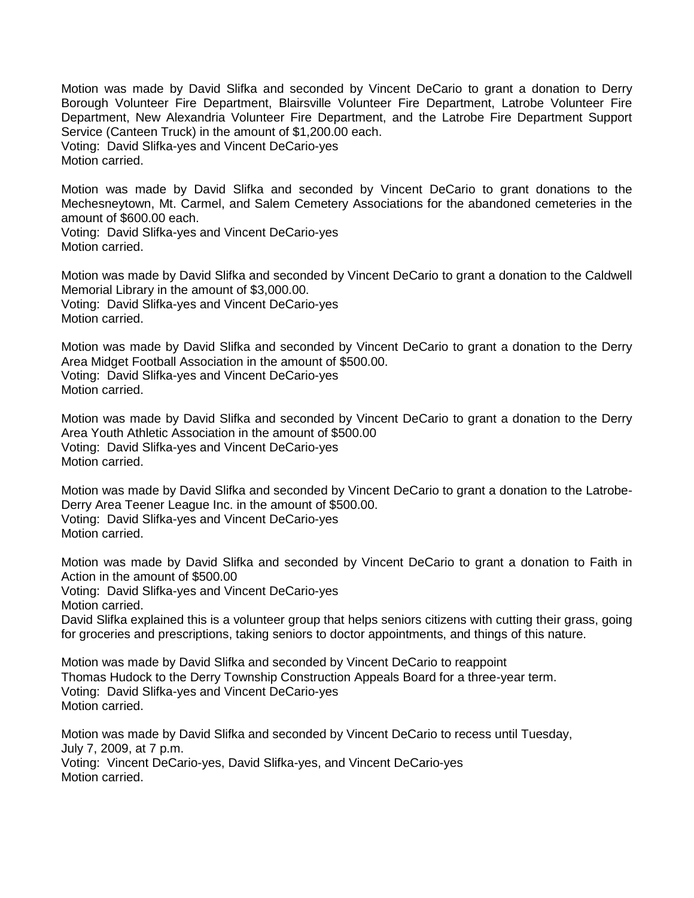Motion was made by David Slifka and seconded by Vincent DeCario to grant a donation to Derry Borough Volunteer Fire Department, Blairsville Volunteer Fire Department, Latrobe Volunteer Fire Department, New Alexandria Volunteer Fire Department, and the Latrobe Fire Department Support Service (Canteen Truck) in the amount of \$1,200.00 each. Voting: David Slifka-yes and Vincent DeCario-yes Motion carried.

Motion was made by David Slifka and seconded by Vincent DeCario to grant donations to the Mechesneytown, Mt. Carmel, and Salem Cemetery Associations for the abandoned cemeteries in the amount of \$600.00 each.

Voting: David Slifka-yes and Vincent DeCario-yes Motion carried.

Motion was made by David Slifka and seconded by Vincent DeCario to grant a donation to the Caldwell Memorial Library in the amount of \$3,000.00. Voting: David Slifka-yes and Vincent DeCario-yes Motion carried.

Motion was made by David Slifka and seconded by Vincent DeCario to grant a donation to the Derry Area Midget Football Association in the amount of \$500.00. Voting: David Slifka-yes and Vincent DeCario-yes Motion carried.

Motion was made by David Slifka and seconded by Vincent DeCario to grant a donation to the Derry Area Youth Athletic Association in the amount of \$500.00 Voting: David Slifka-yes and Vincent DeCario-yes Motion carried.

Motion was made by David Slifka and seconded by Vincent DeCario to grant a donation to the Latrobe-Derry Area Teener League Inc. in the amount of \$500.00. Voting: David Slifka-yes and Vincent DeCario-yes Motion carried.

Motion was made by David Slifka and seconded by Vincent DeCario to grant a donation to Faith in Action in the amount of \$500.00

Voting: David Slifka-yes and Vincent DeCario-yes

Motion carried.

David Slifka explained this is a volunteer group that helps seniors citizens with cutting their grass, going for groceries and prescriptions, taking seniors to doctor appointments, and things of this nature.

Motion was made by David Slifka and seconded by Vincent DeCario to reappoint Thomas Hudock to the Derry Township Construction Appeals Board for a three-year term. Voting: David Slifka-yes and Vincent DeCario-yes Motion carried.

Motion was made by David Slifka and seconded by Vincent DeCario to recess until Tuesday, July 7, 2009, at 7 p.m. Voting: Vincent DeCario-yes, David Slifka-yes, and Vincent DeCario-yes Motion carried.